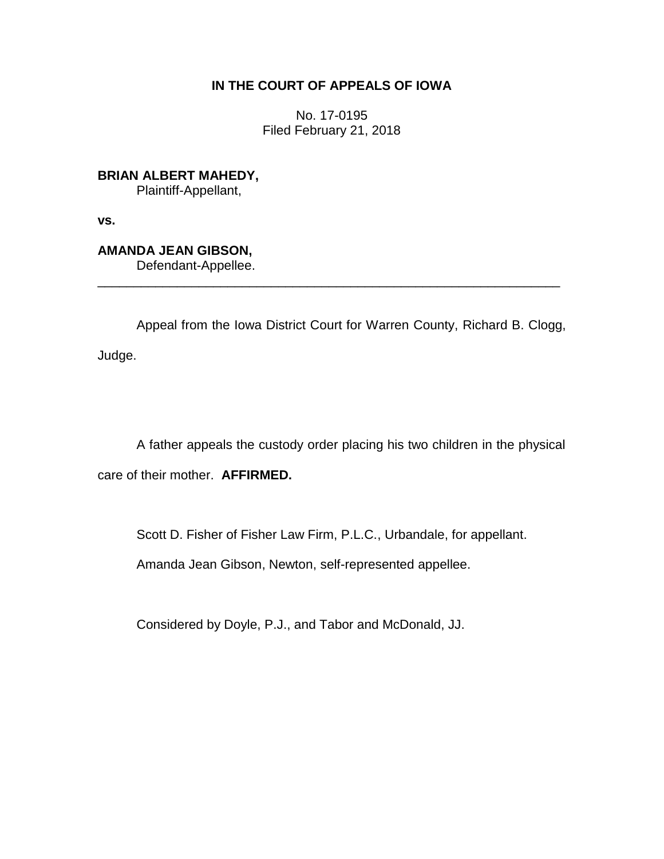## **IN THE COURT OF APPEALS OF IOWA**

No. 17-0195 Filed February 21, 2018

**BRIAN ALBERT MAHEDY,** Plaintiff-Appellant,

**vs.**

# **AMANDA JEAN GIBSON,**

Defendant-Appellee.

Appeal from the Iowa District Court for Warren County, Richard B. Clogg, Judge.

\_\_\_\_\_\_\_\_\_\_\_\_\_\_\_\_\_\_\_\_\_\_\_\_\_\_\_\_\_\_\_\_\_\_\_\_\_\_\_\_\_\_\_\_\_\_\_\_\_\_\_\_\_\_\_\_\_\_\_\_\_\_\_\_

A father appeals the custody order placing his two children in the physical care of their mother. **AFFIRMED.**

Scott D. Fisher of Fisher Law Firm, P.L.C., Urbandale, for appellant.

Amanda Jean Gibson, Newton, self-represented appellee.

Considered by Doyle, P.J., and Tabor and McDonald, JJ.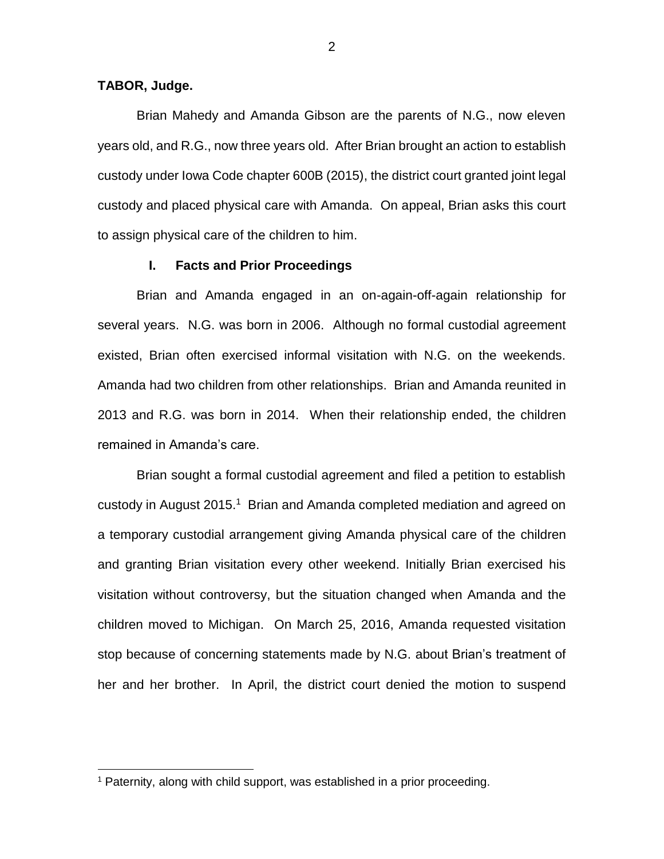#### **TABOR, Judge.**

 $\overline{a}$ 

Brian Mahedy and Amanda Gibson are the parents of N.G., now eleven years old, and R.G., now three years old. After Brian brought an action to establish custody under Iowa Code chapter 600B (2015), the district court granted joint legal custody and placed physical care with Amanda. On appeal, Brian asks this court to assign physical care of the children to him.

#### **I. Facts and Prior Proceedings**

Brian and Amanda engaged in an on-again-off-again relationship for several years. N.G. was born in 2006. Although no formal custodial agreement existed, Brian often exercised informal visitation with N.G. on the weekends. Amanda had two children from other relationships. Brian and Amanda reunited in 2013 and R.G. was born in 2014. When their relationship ended, the children remained in Amanda's care.

Brian sought a formal custodial agreement and filed a petition to establish custody in August 2015.<sup>1</sup> Brian and Amanda completed mediation and agreed on a temporary custodial arrangement giving Amanda physical care of the children and granting Brian visitation every other weekend. Initially Brian exercised his visitation without controversy, but the situation changed when Amanda and the children moved to Michigan. On March 25, 2016, Amanda requested visitation stop because of concerning statements made by N.G. about Brian's treatment of her and her brother. In April, the district court denied the motion to suspend

 $1$  Paternity, along with child support, was established in a prior proceeding.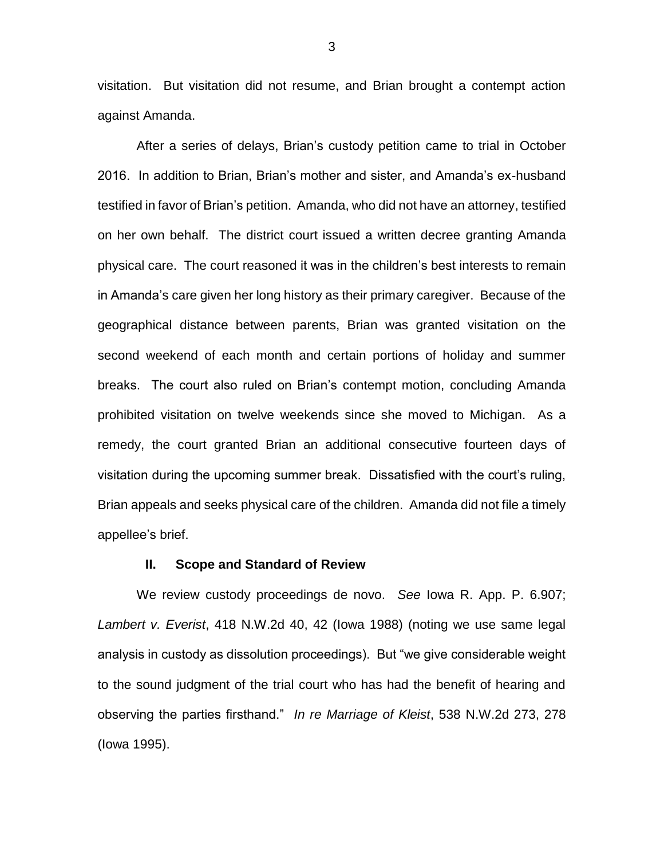visitation. But visitation did not resume, and Brian brought a contempt action against Amanda.

After a series of delays, Brian's custody petition came to trial in October 2016. In addition to Brian, Brian's mother and sister, and Amanda's ex-husband testified in favor of Brian's petition. Amanda, who did not have an attorney, testified on her own behalf. The district court issued a written decree granting Amanda physical care. The court reasoned it was in the children's best interests to remain in Amanda's care given her long history as their primary caregiver. Because of the geographical distance between parents, Brian was granted visitation on the second weekend of each month and certain portions of holiday and summer breaks. The court also ruled on Brian's contempt motion, concluding Amanda prohibited visitation on twelve weekends since she moved to Michigan. As a remedy, the court granted Brian an additional consecutive fourteen days of visitation during the upcoming summer break. Dissatisfied with the court's ruling, Brian appeals and seeks physical care of the children. Amanda did not file a timely appellee's brief.

#### **II. Scope and Standard of Review**

We review custody proceedings de novo. *See* Iowa R. App. P. 6.907; *Lambert v. Everist*, 418 N.W.2d 40, 42 (Iowa 1988) (noting we use same legal analysis in custody as dissolution proceedings). But "we give considerable weight to the sound judgment of the trial court who has had the benefit of hearing and observing the parties firsthand." *In re Marriage of Kleist*, 538 N.W.2d 273, 278 (Iowa 1995).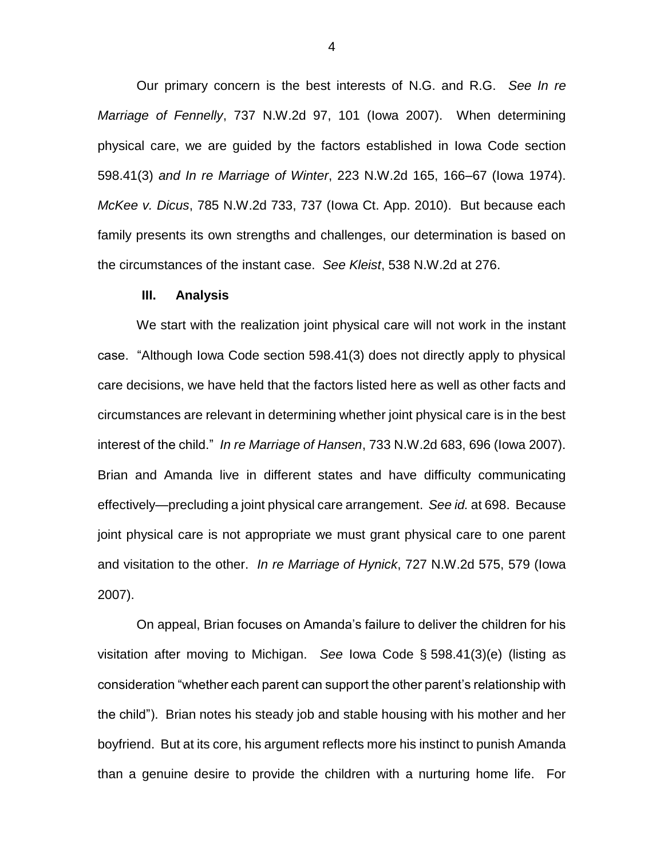Our primary concern is the best interests of N.G. and R.G. *See In re Marriage of Fennelly*, 737 N.W.2d 97, 101 (Iowa 2007). When determining physical care, we are guided by the factors established in Iowa Code section 598.41(3) *and In re Marriage of Winter*, 223 N.W.2d 165, 166–67 (Iowa 1974). *McKee v. Dicus*, 785 N.W.2d 733, 737 (Iowa Ct. App. 2010). But because each family presents its own strengths and challenges, our determination is based on the circumstances of the instant case. *See Kleist*, 538 N.W.2d at 276.

#### **III. Analysis**

We start with the realization joint physical care will not work in the instant case. "Although Iowa Code section 598.41(3) does not directly apply to physical care decisions, we have held that the factors listed here as well as other facts and circumstances are relevant in determining whether joint physical care is in the best interest of the child." *In re Marriage of Hansen*, 733 N.W.2d 683, 696 (Iowa 2007). Brian and Amanda live in different states and have difficulty communicating effectively—precluding a joint physical care arrangement. *See id.* at 698. Because joint physical care is not appropriate we must grant physical care to one parent and visitation to the other. *In re Marriage of Hynick*, 727 N.W.2d 575, 579 (Iowa 2007).

On appeal, Brian focuses on Amanda's failure to deliver the children for his visitation after moving to Michigan. *See* Iowa Code § 598.41(3)(e) (listing as consideration "whether each parent can support the other parent's relationship with the child"). Brian notes his steady job and stable housing with his mother and her boyfriend. But at its core, his argument reflects more his instinct to punish Amanda than a genuine desire to provide the children with a nurturing home life. For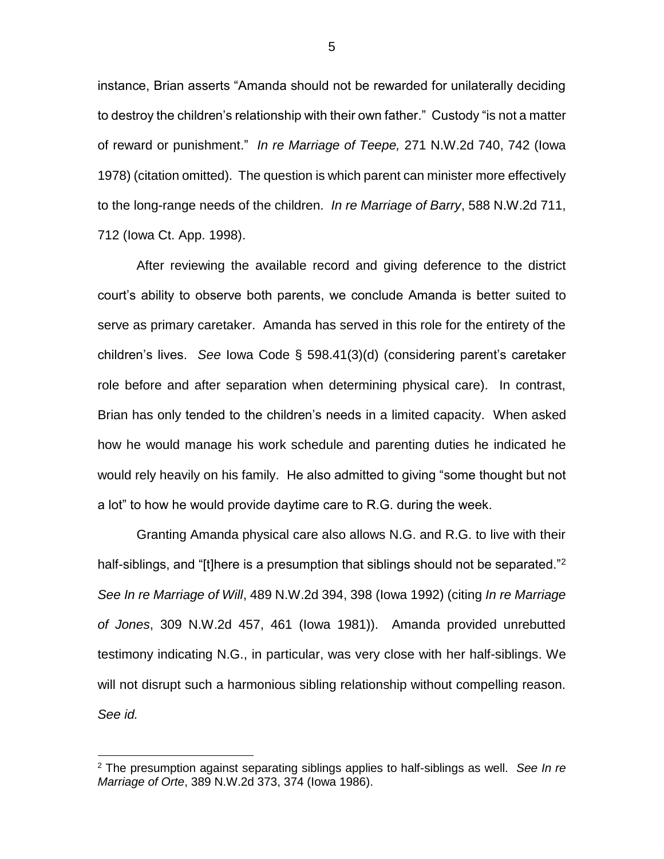instance, Brian asserts "Amanda should not be rewarded for unilaterally deciding to destroy the children's relationship with their own father." Custody "is not a matter of reward or punishment." *In re Marriage of Teepe,* 271 N.W.2d 740, 742 (Iowa 1978) (citation omitted). The question is which parent can minister more effectively to the long-range needs of the children. *In re Marriage of Barry*, 588 N.W.2d 711, 712 (Iowa Ct. App. 1998).

After reviewing the available record and giving deference to the district court's ability to observe both parents, we conclude Amanda is better suited to serve as primary caretaker. Amanda has served in this role for the entirety of the children's lives. *See* Iowa Code § 598.41(3)(d) (considering parent's caretaker role before and after separation when determining physical care). In contrast, Brian has only tended to the children's needs in a limited capacity. When asked how he would manage his work schedule and parenting duties he indicated he would rely heavily on his family. He also admitted to giving "some thought but not a lot" to how he would provide daytime care to R.G. during the week.

Granting Amanda physical care also allows N.G. and R.G. to live with their half-siblings, and "[t]here is a presumption that siblings should not be separated."<sup>2</sup> *See In re Marriage of Will*, 489 N.W.2d 394, 398 (Iowa 1992) (citing *In re Marriage of Jones*, 309 N.W.2d 457, 461 (Iowa 1981)). Amanda provided unrebutted testimony indicating N.G., in particular, was very close with her half-siblings. We will not disrupt such a harmonious sibling relationship without compelling reason. *See id.*

 $\overline{a}$ 

<sup>2</sup> The presumption against separating siblings applies to half-siblings as well. *See In re Marriage of Orte*, 389 N.W.2d 373, 374 (Iowa 1986).